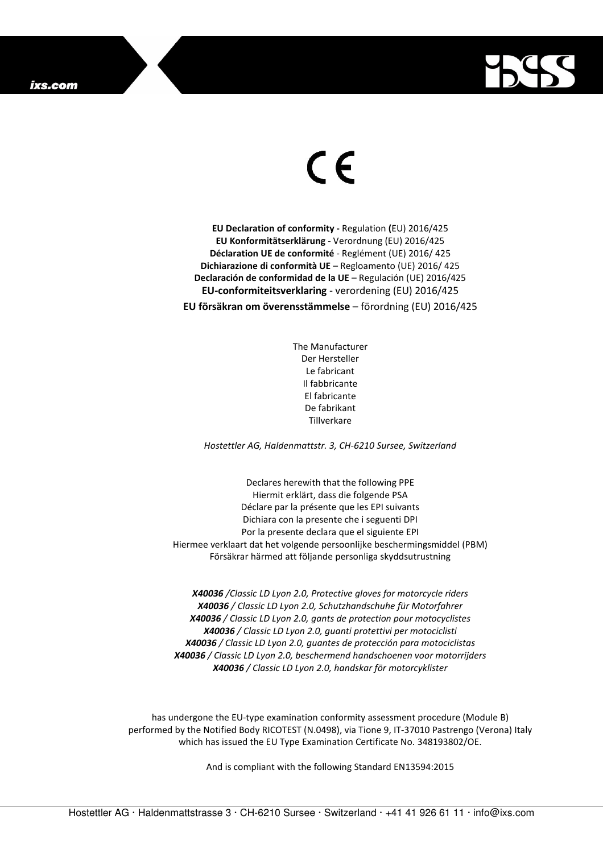

## $\in$

**EU Declaration of conformity -** Regulation **(**EU) 2016/425 **EU Konformitätserklärung** - Verordnung (EU) 2016/425 **Déclaration UE de conformité** - Reglément (UE) 2016/ 425 **Dichiarazione di conformità UE** – Regloamento (UE) 2016/ 425 **Declaración de conformidad de la UE** – Regulación (UE) 2016/425 **EU-conformiteitsverklaring** - verordening (EU) 2016/425 **EU försäkran om överensstämmelse** – förordning (EU) 2016/425

> The Manufacturer Der Hersteller Le fabricant Il fabbricante El fabricante De fabrikant **Tillverkare**

*Hostettler AG, Haldenmattstr. 3, CH-6210 Sursee, Switzerland* 

Declares herewith that the following PPE Hiermit erklärt, dass die folgende PSA Déclare par la présente que les EPI suivants Dichiara con la presente che i seguenti DPI Por la presente declara que el siguiente EPI Hiermee verklaart dat het volgende persoonlijke beschermingsmiddel (PBM) Försäkrar härmed att följande personliga skyddsutrustning

*X40036 /Classic LD Lyon 2.0, Protective gloves for motorcycle riders X40036 / Classic LD Lyon 2.0, Schutzhandschuhe für Motorfahrer X40036 / Classic LD Lyon 2.0, gants de protection pour motocyclistes X40036 / Classic LD Lyon 2.0, guanti protettivi per motociclisti X40036 / Classic LD Lyon 2.0, guantes de protección para motociclistas X40036 / Classic LD Lyon 2.0, beschermend handschoenen voor motorrijders X40036 / Classic LD Lyon 2.0, handskar för motorcyklister* 

has undergone the EU-type examination conformity assessment procedure (Module B) performed by the Notified Body RICOTEST (N.0498), via Tione 9, IT-37010 Pastrengo (Verona) Italy which has issued the EU Type Examination Certificate No. 348193802/OE.

And is compliant with the following Standard EN13594:2015